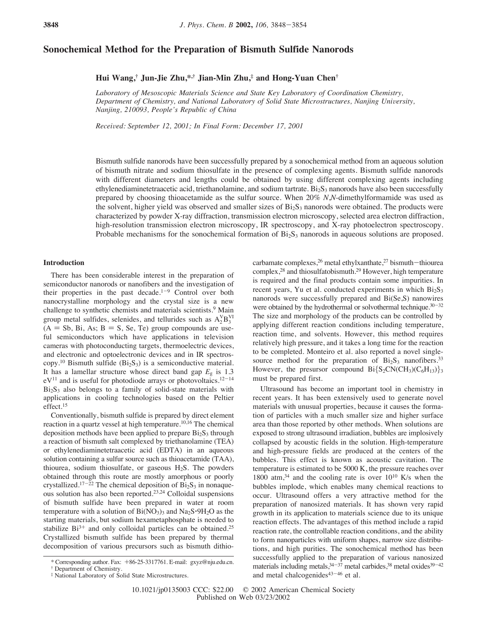# **Sonochemical Method for the Preparation of Bismuth Sulfide Nanorods**

# **Hui Wang,† Jun-Jie Zhu,\*,† Jian-Min Zhu,‡ and Hong-Yuan Chen†**

*Laboratory of Mesoscopic Materials Science and State Key Laboratory of Coordination Chemistry, Department of Chemistry, and National Laboratory of Solid State Microstructures, Nanjing University, Nanjing, 210093, People's Republic of China*

*Recei*V*ed: September 12, 2001; In Final Form: December 17, 2001*

Bismuth sulfide nanorods have been successfully prepared by a sonochemical method from an aqueous solution of bismuth nitrate and sodium thiosulfate in the presence of complexing agents. Bismuth sulfide nanorods with different diameters and lengths could be obtained by using different complexing agents including ethylenediaminetetraacetic acid, triethanolamine, and sodium tartrate.  $Bi<sub>2</sub>S<sub>3</sub>$  nanorods have also been successfully prepared by choosing thioacetamide as the sulfur source. When 20% *N*,*N*-dimethylformamide was used as the solvent, higher yield was observed and smaller sizes of  $Bi<sub>2</sub>S<sub>3</sub>$  nanorods were obtained. The products were characterized by powder X-ray diffraction, transmission electron microscopy, selected area electron diffraction, high-resolution transmission electron microscopy, IR spectroscopy, and X-ray photoelectron spectroscopy. Probable mechanisms for the sonochemical formation of  $Bi<sub>2</sub>S<sub>3</sub>$  nanorods in aqueous solutions are proposed.

## **Introduction**

There has been considerable interest in the preparation of semiconductor nanorods or nanofibers and the investigation of their properties in the past decade. $1-9$  Control over both nanocrystalline morphology and the crystal size is a new challenge to synthetic chemists and materials scientists.<sup>9</sup> Main group metal sulfides, selenides, and tellurides such as  $A_2^V B_3^V$  $(A = Sb, Bi, As; B = S, Se, Te)$  group compounds are useful semiconductors which have applications in television cameras with photoconducting targets, thermoelectric devices, and electronic and optoelectronic devices and in IR spectroscopy.<sup>10</sup> Bismuth sulfide  $(Bi<sub>2</sub>S<sub>3</sub>)$  is a semiconductive material. It has a lamellar structure whose direct band gap  $E_g$  is 1.3  $eV^{11}$  and is useful for photodiode arrays or photovoltaics.<sup>12-14</sup>  $Bi<sub>2</sub>S<sub>3</sub>$  also belongs to a family of solid-state materials with applications in cooling technologies based on the Peltier effect.15

Conventionally, bismuth sulfide is prepared by direct element reaction in a quartz vessel at high temperature.10,16 The chemical deposition methods have been applied to prepare  $Bi<sub>2</sub>S<sub>3</sub>$  through a reaction of bismuth salt complexed by triethanolamine (TEA) or ethylenediaminetetraacetic acid (EDTA) in an aqueous solution containing a sulfur source such as thioacetamide (TAA), thiourea, sodium thiosulfate, or gaseous  $H_2S$ . The powders obtained through this route are mostly amorphous or poorly crystallized.<sup>17-22</sup> The chemical deposition of  $Bi<sub>2</sub>S<sub>3</sub>$  in nonaqueous solution has also been reported.23,24 Colloidal suspensions of bismuth sulfide have been prepared in water at room temperature with a solution of  $Bi(NO<sub>3</sub>)<sub>3</sub>$  and  $Na<sub>2</sub>S<sup>0</sup>·9H<sub>2</sub>O$  as the starting materials, but sodium hexametaphosphate is needed to stabilize  $Bi^{3+}$  and only colloidal particles can be obtained.<sup>25</sup> Crystallized bismuth sulfide has been prepared by thermal decomposition of various precursors such as bismuth dithiocarbamate complexes,  $2^6$  metal ethylxanthate,  $2^7$  bismuth-thiourea complex,28 and thiosulfatobismuth.29 However, high temperature is required and the final products contain some impurities. In recent years, Yu et al. conducted experiments in which  $Bi<sub>2</sub>S<sub>3</sub>$ nanorods were successfully prepared and Bi(Se,S) nanowires were obtained by the hydrothermal or solvothermal technique. $30-32$ The size and morphology of the products can be controlled by applying different reaction conditions including temperature, reaction time, and solvents. However, this method requires relatively high pressure, and it takes a long time for the reaction to be completed. Monteiro et al. also reported a novel singlesource method for the preparation of  $Bi_2S_3$  nanofibers.<sup>33</sup> However, the presursor compound  $Bi\{S_2CN(CH_3)(C_6H_{13})\}_3$ must be prepared first.

Ultrasound has become an important tool in chemistry in recent years. It has been extensively used to generate novel materials with unusual properties, because it causes the formation of particles with a much smaller size and higher surface area than those reported by other methods. When solutions are exposed to strong ultrasound irradiation, bubbles are implosively collapsed by acoustic fields in the solution. High-temperature and high-pressure fields are produced at the centers of the bubbles. This effect is known as acoustic cavitation. The temperature is estimated to be 5000 K, the pressure reaches over 1800 atm, $34$  and the cooling rate is over  $10^{10}$  K/s when the bubbles implode, which enables many chemical reactions to occur. Ultrasound offers a very attractive method for the preparation of nanosized materials. It has shown very rapid growth in its application to materials science due to its unique reaction effects. The advantages of this method include a rapid reaction rate, the controllable reaction conditions, and the ability to form nanoparticles with uniform shapes, narrow size distributions, and high purities. The sonochemical method has been successfully applied to the preparation of various nanosized materials including metals,  $34-37$  metal carbides,  $38$  metal oxides  $39-42$ and metal chalcogenides $43-46$  et al.

<sup>\*</sup> Corresponding author. Fax:  $+86-25-3317761$ . E-mail: gxyz@nju.edu.cn.

<sup>†</sup> Department of Chemistry.

<sup>‡</sup> National Laboratory of Solid State Microstructures.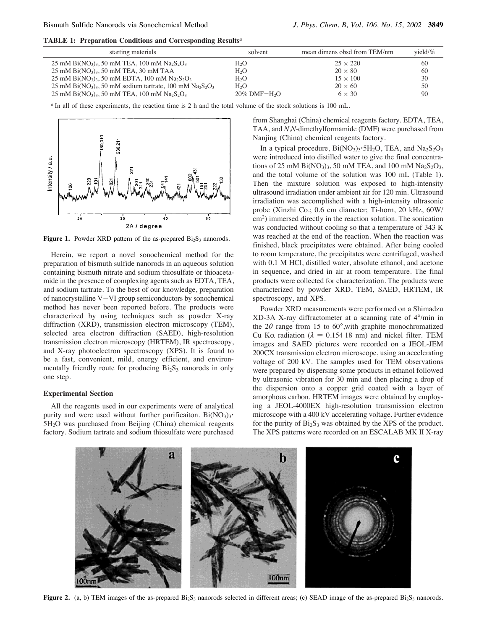**TABLE 1: Preparation Conditions and Corresponding Results***<sup>a</sup>*

| starting materials                                                                                                    | solvent           | mean dimens obsd from TEM/nm | $yield\%$ |
|-----------------------------------------------------------------------------------------------------------------------|-------------------|------------------------------|-----------|
| 25 mM Bi(NO <sub>3</sub> ) <sub>3</sub> , 50 mM TEA, 100 mM Na <sub>2</sub> S <sub>2</sub> O <sub>3</sub>             | $H_2O$            | $25 \times 220$              | 60        |
| $25 \text{ mM Bi}(\text{NO}_3)$ <sub>3</sub> , 50 mM TEA, 30 mM TAA                                                   | H <sub>2</sub> O  | $20 \times 80$               | 60        |
| 25 mM Bi(NO <sub>3</sub> ) <sub>3</sub> , 50 mM EDTA, 100 mM Na <sub>2</sub> S <sub>2</sub> O <sub>3</sub>            | H <sub>2</sub> O  | $15 \times 100$              | 30        |
| 25 mM Bi(NO <sub>3</sub> ) <sub>3</sub> , 50 mM sodium tartrate, 100 mM Na <sub>2</sub> S <sub>2</sub> O <sub>3</sub> | H <sub>2</sub> O  | $20 \times 60$               | 50        |
| 25 mM Bi(NO <sub>3</sub> ) <sub>3</sub> , 50 mM TEA, 100 mM Na <sub>2</sub> S <sub>2</sub> O <sub>3</sub>             | $20\%$ DMF $-H2O$ | $6 \times 30$                | 90        |

*<sup>a</sup>* In all of these experiments, the reaction time is 2 h and the total volume of the stock solutions is 100 mL.



**Figure 1.** Powder XRD pattern of the as-prepared  $Bi<sub>2</sub>S<sub>3</sub>$  nanorods.

Herein, we report a novel sonochemical method for the preparation of bismuth sulfide nanorods in an aqueous solution containing bismuth nitrate and sodium thiosulfate or thioacetamide in the presence of complexing agents such as EDTA, TEA, and sodium tartrate. To the best of our knowledge, preparation of nanocrystalline V-VI group semiconductors by sonochemical method has never been reported before. The products were characterized by using techniques such as powder X-ray diffraction (XRD), transmission electron microscopy (TEM), selected area electron diffraction (SAED), high-resolution transmission electron microscopy (HRTEM), IR spectroscopy, and X-ray photoelectron spectroscopy (XPS). It is found to be a fast, convenient, mild, energy efficient, and environmentally friendly route for producing  $Bi<sub>2</sub>S<sub>3</sub>$  nanorods in only one step.

#### **Experimental Section**

All the reagents used in our experiments were of analytical purity and were used without further purificaiton.  $Bi(NO<sub>3</sub>)<sub>3</sub>$ .  $5H<sub>2</sub>O$  was purchased from Beijing (China) chemical reagents factory. Sodium tartrate and sodium thiosulfate were purchased from Shanghai (China) chemical reagents factory. EDTA, TEA, TAA, and *N*,*N*-dimethylformamide (DMF) were purchased from Nanjing (China) chemical reagents factory.

In a typical procedure,  $Bi(NO<sub>3</sub>)<sub>3</sub>·5H<sub>2</sub>O$ , TEA, and  $Na<sub>2</sub>S<sub>2</sub>O<sub>3</sub>$ were introduced into distilled water to give the final concentrations of 25 mM Bi(NO<sub>3</sub>)<sub>3</sub>, 50 mM TEA, and 100 mM Na<sub>2</sub>S<sub>2</sub>O<sub>3</sub>, and the total volume of the solution was 100 mL (Table 1). Then the mixture solution was exposed to high-intensity ultrasound irradiation under ambient air for 120 min. Ultrasound irradiation was accomplished with a high-intensity ultrasonic probe (Xinzhi Co.; 0.6 cm diameter; Ti-horn, 20 kHz, 60W/ cm2) immersed directly in the reaction solution. The sonication was conducted without cooling so that a temperature of 343 K was reached at the end of the reaction. When the reaction was finished, black precipitates were obtained. After being cooled to room temperature, the precipitates were centrifuged, washed with 0.1 M HCl, distilled water, absolute ethanol, and acetone in sequence, and dried in air at room temperature. The final products were collected for characterization. The products were characterized by powder XRD, TEM, SAED, HRTEM, IR spectroscopy, and XPS.

Powder XRD measurements were performed on a Shimadzu XD-3A X-ray diffractometer at a scanning rate of 4°/min in the  $2\theta$  range from 15 to 60°, with graphite monochromatized Cu Kα radiation ( $λ = 0.154$  18 nm) and nickel filter. TEM images and SAED pictures were recorded on a JEOL-JEM 200CX transmission electron microscope, using an accelerating voltage of 200 kV. The samples used for TEM observations were prepared by dispersing some products in ethanol followed by ultrasonic vibration for 30 min and then placing a drop of the dispersion onto a copper grid coated with a layer of amorphous carbon. HRTEM images were obtained by employing a JEOL-4000EX high-resolution transmission electron microscope with a 400 kV accelerating voltage. Further evidence for the purity of  $Bi<sub>2</sub>S<sub>3</sub>$  was obtained by the XPS of the product. The XPS patterns were recorded on an ESCALAB MK II X-ray



**Figure 2.** (a, b) TEM images of the as-prepared  $\text{Bi}_2\text{S}_3$  nanorods selected in different areas; (c) SEAD image of the as-prepared  $\text{Bi}_2\text{S}_3$  nanorods.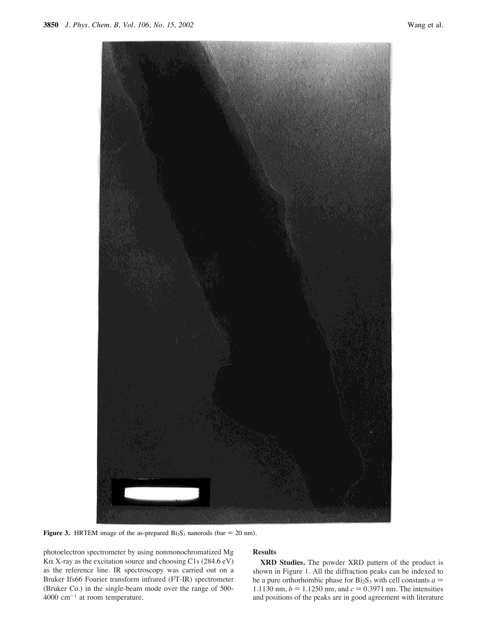

**Figure 3.** HRTEM image of the as-prepared  $Bi<sub>2</sub>S<sub>3</sub>$  nanorods (bar = 20 nm).

photoelectron spectrometer by using nonmonochromatized Mg K $\alpha$  X-ray as the excitation source and choosing C1s (284.6 eV) as the reference line. IR spectroscopy was carried out on a Bruker Ifs66 Fourier transform infrared (FT-IR) spectrometer (Bruker Co.) in the single-beam mode over the range of 500-  $4000 \text{ cm}^{-1}$  at room temperature.

# **Results**

**XRD Studies.** The powder XRD pattern of the product is shown in Figure 1. All the diffraction peaks can be indexed to be a pure orthorhombic phase for  $Bi<sub>2</sub>S<sub>3</sub>$  with cell constants  $a =$ 1.1130 nm,  $b = 1.1250$  nm, and  $c = 0.3971$  nm. The intensities and positions of the peaks are in good agreement with literature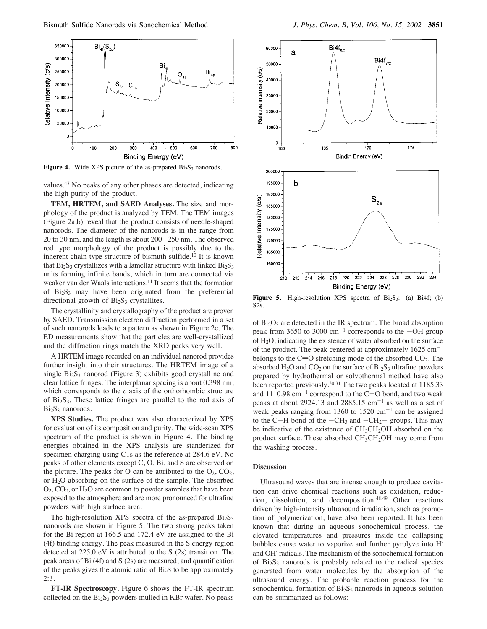

**Figure 4.** Wide XPS picture of the as-prepared  $Bi<sub>2</sub>S<sub>3</sub>$  nanorods.

values.47 No peaks of any other phases are detected, indicating the high purity of the product.

**TEM, HRTEM, and SAED Analyses.** The size and morphology of the product is analyzed by TEM. The TEM images (Figure 2a,b) reveal that the product consists of needle-shaped nanorods. The diameter of the nanorods is in the range from 20 to 30 nm, and the length is about 200-250 nm. The observed rod type morphology of the product is possibly due to the inherent chain type structure of bismuth sulfide.<sup>10</sup> It is known that  $Bi<sub>2</sub>S<sub>3</sub>$  crystallizes with a lamellar structure with linked  $Bi<sub>2</sub>S<sub>3</sub>$ units forming infinite bands, which in turn are connected via weaker van der Waals interactions.<sup>11</sup> It seems that the formation of Bi<sub>2</sub>S<sub>3</sub> may have been originated from the preferential directional growth of  $Bi<sub>2</sub>S<sub>3</sub>$  crystallites.

The crystallinity and crystallography of the product are proven by SAED. Transmission electron diffraction performed in a set of such nanorods leads to a pattern as shown in Figure 2c. The ED measurements show that the particles are well-crystallized and the diffraction rings match the XRD peaks very well.

A HRTEM image recorded on an individual nanorod provides further insight into their structures. The HRTEM image of a single  $Bi<sub>2</sub>S<sub>3</sub>$  nanorod (Figure 3) exhibits good crystalline and clear lattice fringes. The interplanar spacing is about 0.398 nm, which corresponds to the *c* axis of the orthorhombic structure of  $Bi_2S_3$ . These lattice fringes are parallel to the rod axis of  $Bi<sub>2</sub>S<sub>3</sub>$  nanorods.

**XPS Studies.** The product was also characterized by XPS for evaluation of its composition and purity. The wide-scan XPS spectrum of the product is shown in Figure 4. The binding energies obtained in the XPS analysis are standerized for specimen charging using C1s as the reference at 284.6 eV. No peaks of other elements except C, O, Bi, and S are observed on the picture. The peaks for O can be attributed to the  $O_2$ ,  $CO_2$ , or H2O absorbing on the surface of the sample. The absorbed  $O_2$ ,  $CO_2$ , or  $H_2O$  are common to powder samples that have been exposed to the atmosphere and are more pronounced for ultrafine powders with high surface area.

The high-resolution XPS spectra of the as-prepared  $Bi<sub>2</sub>S<sub>3</sub>$ nanorods are shown in Figure 5. The two strong peaks taken for the Bi region at 166.5 and 172.4 eV are assigned to the Bi (4f) binding energy. The peak measured in the S energy region detected at 225.0 eV is attributed to the S (2s) transition. The peak areas of Bi (4f) and S (2s) are measured, and quantification of the peaks gives the atomic ratio of Bi:S to be approximately 2:3.

**FT-IR Spectroscopy.** Figure 6 shows the FT-IR spectrum collected on the  $Bi<sub>2</sub>S<sub>3</sub>$  powders mulled in KBr wafer. No peaks



Figure 5. High-resolution XPS spectra of Bi<sub>2</sub>S<sub>3</sub>: (a) Bi4f; (b) S2s.

of  $Bi<sub>2</sub>O<sub>3</sub>$  are detected in the IR spectrum. The broad absorption peak from 3650 to 3000  $cm^{-1}$  corresponds to the  $-OH$  group of H2O, indicating the existence of water absorbed on the surface of the product. The peak centered at approximately  $1625 \text{ cm}^{-1}$ belongs to the C=O stretching mode of the absorbed  $CO<sub>2</sub>$ . The absorbed  $H_2O$  and  $CO_2$  on the surface of  $Bi_2S_3$  ultrafine powders prepared by hydrothermal or solvothermal method have also been reported previously.<sup>30,31</sup> The two peaks located at 1185.33 and  $1110.98 \text{ cm}^{-1}$  correspond to the C-O bond, and two weak peaks at about 2924.13 and 2885.15  $cm^{-1}$  as well as a set of weak peaks ranging from 1360 to 1520  $cm^{-1}$  can be assigned to the C-H bond of the  $-CH_3$  and  $-CH_2$ - groups. This may be indicative of the existence of  $CH<sub>3</sub>CH<sub>2</sub>OH$  absorbed on the product surface. These absorbed  $CH<sub>3</sub>CH<sub>2</sub>OH$  may come from the washing process.

### **Discussion**

Ultrasound waves that are intense enough to produce cavitation can drive chemical reactions such as oxidation, reduction, dissolution, and decomposition.<sup>48,49</sup> Other reactions driven by high-intensity ultrasound irradiation, such as promotion of polymerization, have also been reported. It has been known that during an aqueous sonochemical process, the elevated temperatures and pressures inside the collapsing bubbles cause water to vaporize and further pyrolyze into H' and OH' radicals. The mechanism of the sonochemical formation of  $Bi<sub>2</sub>S<sub>3</sub>$  nanorods is probably related to the radical species generated from water molecules by the absorption of the ultrasound energy. The probable reaction process for the sonochemical formation of  $Bi<sub>2</sub>S<sub>3</sub>$  nanorods in aqueous solution can be summarized as follows: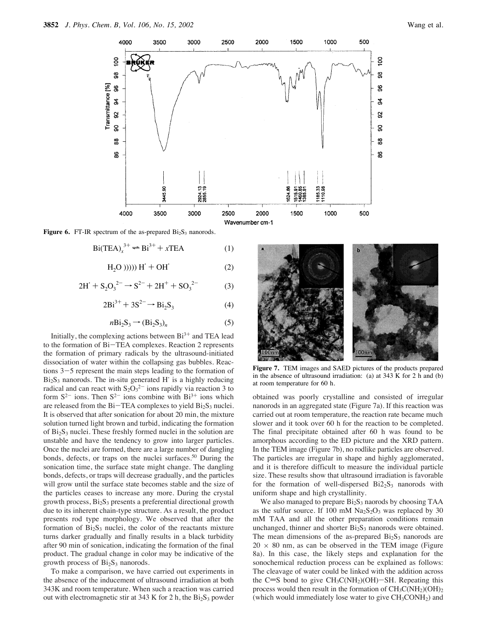

**Figure 6.** FT-IR spectrum of the as-prepared  $Bi<sub>2</sub>S<sub>3</sub>$  nanorods.

$$
\text{Bi(TEA)}_{x}^{3+} \rightleftharpoons \text{Bi}^{3+} + x\text{TEA} \tag{1}
$$

$$
H2O))))H' + OH'
$$
 (2)

$$
2H' + S_2O_3^{2-} \rightarrow S^{2-} + 2H^+ + SO_3^{2-}
$$
 (3)

$$
2\text{Bi}^{3+} + 3\text{S}^{2-} \rightarrow \text{Bi}_2\text{S}_3 \tag{4}
$$

$$
n\text{Bi}_2\text{S}_3 \rightarrow (\text{Bi}_2\text{S}_3)_n \tag{5}
$$

Initially, the complexing actions between  $Bi^{3+}$  and TEA lead to the formation of Bi-TEA complexes. Reaction 2 represents the formation of primary radicals by the ultrasound-initiated dissociation of water within the collapsing gas bubbles. Reactions 3-5 represent the main steps leading to the formation of  $Bi<sub>2</sub>S<sub>3</sub>$  nanorods. The in-situ generated H is a highly reducing radical and can react with  $S_2O_3^{2-}$  ions rapidly via reaction 3 to form  $S^{2-}$  ions. Then  $S^{2-}$  ions combine with  $Bi^{3+}$  ions which are released from the  $Bi$ -TEA complexes to yield  $Bi<sub>2</sub>S<sub>3</sub>$  nuclei. It is observed that after sonication for about 20 min, the mixture solution turned light brown and turbid, indicating the formation of  $Bi<sub>2</sub>S<sub>3</sub>$  nuclei. These freshly formed nuclei in the solution are unstable and have the tendency to grow into larger particles. Once the nuclei are formed, there are a large number of dangling bonds, defects, or traps on the nuclei surfaces.<sup>50</sup> During the sonication time, the surface state might change. The dangling bonds, defects, or traps will decrease gradually, and the particles will grow until the surface state becomes stable and the size of the particles ceases to increase any more. During the crystal growth process, Bi2S3 presents a preferential directional growth due to its inherent chain-type structure. As a result, the product presents rod type morphology. We observed that after the formation of  $Bi<sub>2</sub>S<sub>3</sub>$  nuclei, the color of the reactants mixture turns darker gradually and finally results in a black turbidity after 90 min of sonication, indicating the formation of the final product. The gradual change in color may be indicative of the growth process of Bi<sub>2</sub>S<sub>3</sub> nanorods.

To make a comparison, we have carried out experiments in the absence of the inducement of ultrasound irradiation at both 343K and room temperature. When such a reaction was carried out with electromagnetic stir at 343 K for 2 h, the  $Bi<sub>2</sub>S<sub>3</sub>$  powder



**Figure 7.** TEM images and SAED pictures of the products prepared in the absence of ultrasound irradiation: (a) at 343 K for 2 h and (b) at room temperature for 60 h.

obtained was poorly crystalline and consisted of irregular nanorods in an aggregated state (Figure 7a). If this reaction was carried out at room temperature, the reaction rate became much slower and it took over 60 h for the reaction to be completed. The final precipitate obtained after 60 h was found to be amorphous according to the ED picture and the XRD pattern. In the TEM image (Figure 7b), no rodlike particles are observed. The particles are irregular in shape and highly agglomerated, and it is therefore difficult to measure the individual particle size. These results show that ultrasound irradiation is favorable for the formation of well-dispersed  $Bi2<sub>2</sub>S<sub>3</sub>$  nanorods with uniform shape and high crystallinity.

We also managed to prepare  $Bi<sub>2</sub>S<sub>3</sub>$  naorods by choosing TAA as the sulfur source. If 100 mM  $Na<sub>2</sub>S<sub>2</sub>O<sub>3</sub>$  was replaced by 30 mM TAA and all the other preparation conditions remain unchanged, thinner and shorter  $Bi<sub>2</sub>S<sub>3</sub>$  nanorods were obtained. The mean dimensions of the as-prepared  $Bi<sub>2</sub>S<sub>3</sub>$  nanorods are  $20 \times 80$  nm, as can be observed in the TEM image (Figure 8a). In this case, the likely steps and explanation for the sonochemical reduction process can be explained as follows: The cleavage of water could be linked with the addition across the C=S bond to give  $CH_3C(NH_2)(OH)$ -SH. Repeating this process would then result in the formation of  $CH_3C(NH_2)(OH)_2$ (which would immediately lose water to give  $CH<sub>3</sub>CONH<sub>2</sub>$ ) and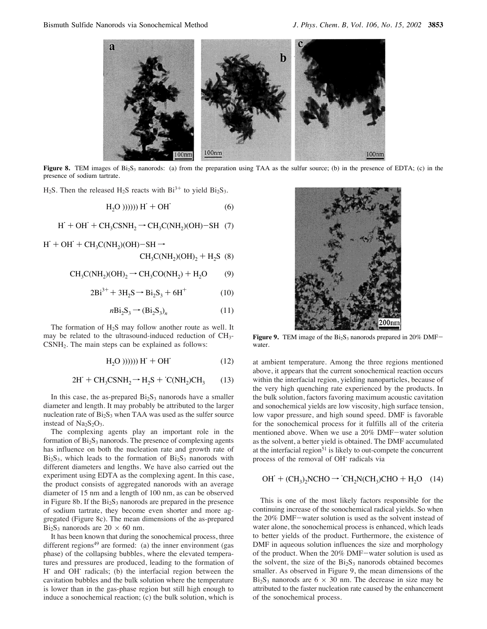

**Figure 8.** TEM images of  $Bi_2S_3$  nanorods: (a) from the preparation using TAA as the sulfur source; (b) in the presence of EDTA; (c) in the presence of sodium tartrate.

H<sub>2</sub>S. Then the released H<sub>2</sub>S reacts with Bi<sup>3+</sup> to yield Bi<sub>2</sub>S<sub>3</sub>.

$$
H2O)))))) H+ + OH* (6)
$$

$$
H^{\cdot} + OH^{\cdot} + CH_3CSNH_2 \rightarrow CH_3C(NH_2)(OH) - SH \quad (7)
$$

 $H' + OH' + CH_3C(NH_2)(OH) - SH \rightarrow$  $CH_3C(NH_2)(OH)_2 + H_2S$  (8)

$$
CH_3C(NH_2)(OH)_2 \rightarrow CH_3CO(NH_2) + H_2O
$$
 (9)

$$
2Bi^{3+} + 3H_2S \to Bi_2S_3 + 6H^+ \tag{10}
$$

$$
n\text{Bi}_2\text{S}_3 \rightarrow (\text{Bi}_2\text{S}_3)_n \tag{11}
$$

The formation of H<sub>2</sub>S may follow another route as well. It may be related to the ultrasound-induced reduction of CH3- CSNH2. The main steps can be explained as follows:

$$
H2O)))))) H+ + OH* (12)
$$

$$
2H^{\cdot} + CH_3CSNH_2 \rightarrow H_2S + ^{\cdot}C(NH_2)CH_3 \qquad (13)
$$

In this case, the as-prepared  $Bi<sub>2</sub>S<sub>3</sub>$  nanorods have a smaller diameter and length. It may probably be attributed to the larger nucleation rate of  $Bi<sub>2</sub>S<sub>3</sub>$  when TAA was used as the sulfer source instead of  $Na<sub>2</sub>S<sub>2</sub>O<sub>3</sub>$ .

The complexing agents play an important role in the formation of  $Bi<sub>2</sub>S<sub>3</sub>$  nanorods. The presence of complexing agents has influence on both the nucleation rate and growth rate of  $Bi<sub>2</sub>S<sub>3</sub>$ , which leads to the formation of  $Bi<sub>2</sub>S<sub>3</sub>$  nanorods with different diameters and lengths. We have also carried out the experiment using EDTA as the complexing agent. In this case, the product consists of aggregated nanorods with an average diameter of 15 nm and a length of 100 nm, as can be observed in Figure 8b. If the  $Bi<sub>2</sub>S<sub>3</sub>$  nanorods are prepared in the presence of sodium tartrate, they become even shorter and more aggregated (Figure 8c). The mean dimensions of the as-prepared  $Bi<sub>2</sub>S<sub>3</sub>$  nanorods are 20  $\times$  60 nm.

It has been known that during the sonochemical process, three different regions<sup>49</sup> are formed: (a) the inner environment (gas phase) of the collapsing bubbles, where the elevated temperatures and pressures are produced, leading to the formation of H' and OH' radicals; (b) the interfacial region between the cavitation bubbles and the bulk solution where the temperature is lower than in the gas-phase region but still high enough to induce a sonochemical reaction; (c) the bulk solution, which is



Figure 9. TEM image of the Bi<sub>2</sub>S<sub>3</sub> nanorods prepared in 20% DMFwater.

at ambient temperature. Among the three regions mentioned above, it appears that the current sonochemical reaction occurs within the interfacial region, yielding nanoparticles, because of the very high quenching rate experienced by the products. In the bulk solution, factors favoring maximum acoustic cavitation and sonochemical yields are low viscosity, high surface tension, low vapor pressure, and high sound speed. DMF is favorable for the sonochemical process for it fulfills all of the criteria mentioned above. When we use a 20% DMF-water solution as the solvent, a better yield is obtained. The DMF accumulated at the interfacial region $51$  is likely to out-compete the concurrent process of the removal of OH' radicals via

$$
\text{OH}^{\cdot} + (\text{CH}_3)_2 \text{NCHO} \rightarrow ^{\cdot} \text{CH}_2 \text{N}(\text{CH}_3)\text{CHO} + \text{H}_2\text{O} \quad (14)
$$

This is one of the most likely factors responsible for the continuing increase of the sonochemical radical yields. So when the 20% DMF-water solution is used as the solvent instead of water alone, the sonochemical process is enhanced, which leads to better yields of the product. Furthermore, the existence of DMF in aqueous solution influences the size and morphology of the product. When the 20% DMF-water solution is used as the solvent, the size of the  $Bi<sub>2</sub>S<sub>3</sub>$  nanorods obtained becomes smaller. As observed in Figure 9, the mean dimensions of the  $Bi<sub>2</sub>S<sub>3</sub>$  nanorods are 6  $\times$  30 nm. The decrease in size may be attributed to the faster nucleation rate caused by the enhancement of the sonochemical process.